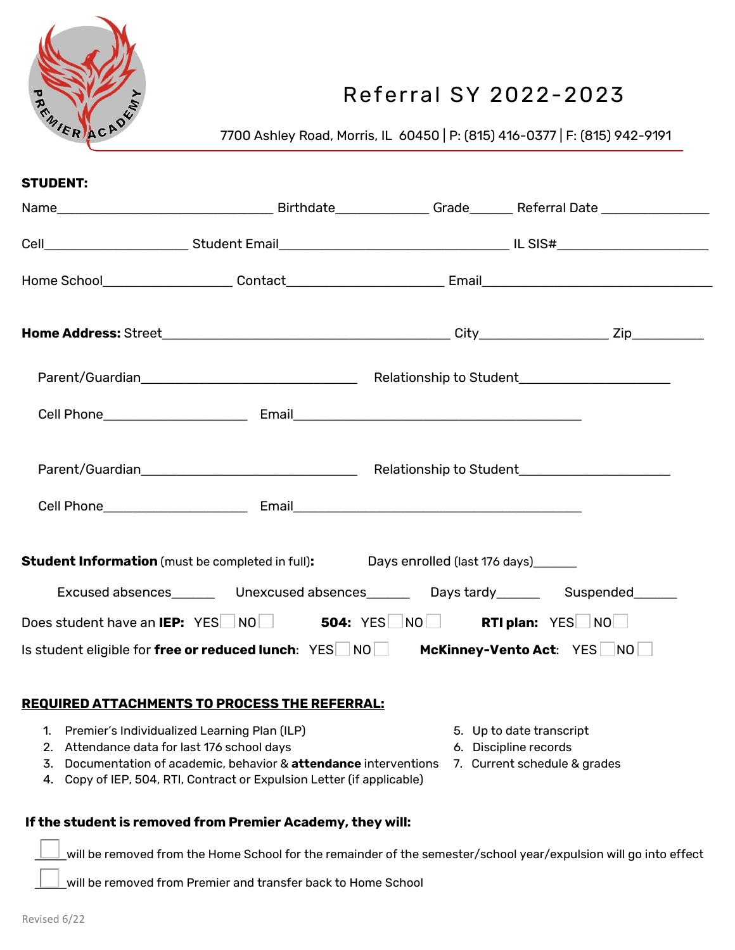

# Referral SY 2022-2023

7700 Ashley Road, Morris, IL 60450 | P: (815) 416-0377 | F: (815) 942-9191

| <b>STUDENT:</b>                             |                                                                                                |                          |
|---------------------------------------------|------------------------------------------------------------------------------------------------|--------------------------|
|                                             |                                                                                                |                          |
|                                             |                                                                                                |                          |
|                                             |                                                                                                |                          |
|                                             |                                                                                                |                          |
|                                             |                                                                                                |                          |
|                                             |                                                                                                |                          |
|                                             |                                                                                                |                          |
|                                             |                                                                                                |                          |
|                                             | <b>Student Information</b> (must be completed in full): Days enrolled (last 176 days)          |                          |
|                                             | Excused absences__________ Unexcused absences__________ Days tardy__________ Suspended_______  |                          |
|                                             | Does student have an IEP: YES NO 504: YES NO RTI plan: YES NO                                  |                          |
|                                             | Is student eligible for free or reduced lunch: YES NO McKinney-Vento Act: YES NO               |                          |
|                                             |                                                                                                |                          |
|                                             | <b>REQUIRED ATTACHMENTS TO PROCESS THE REFERRAL:</b>                                           |                          |
|                                             | 1. Premier's Individualized Learning Plan (ILP)                                                | 5. Up to date transcript |
| 2. Attendance data for last 176 school days |                                                                                                | 6. Discipline records    |
|                                             | 3. Documentation of academic, behavior & attendance interventions 7. Current schedule & grades |                          |

## **If the student is removed from Premier Academy, they will:**

4. Copy of IEP, 504, RTI, Contract or Expulsion Letter (if applicable)

\_\_\_\_will be removed from the Home School for the remainder of the semester/school year/expulsion will go into effect

will be removed from Premier and transfer back to Home School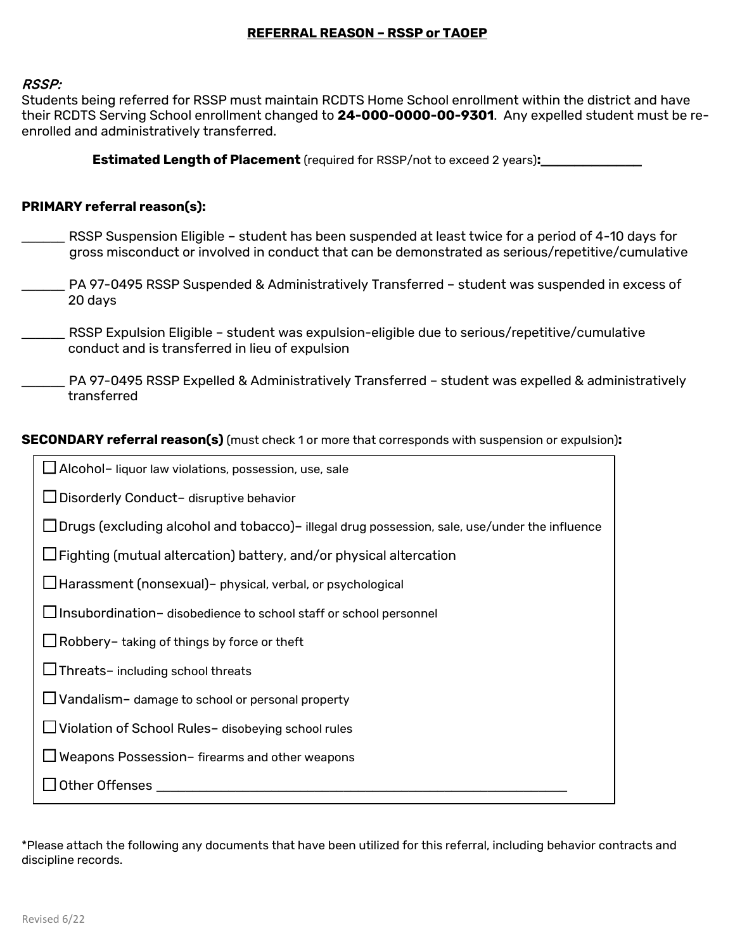## **REFERRAL REASON – RSSP or TAOEP**

#### RSSP:

Students being referred for RSSP must maintain RCDTS Home School enrollment within the district and have their RCDTS Serving School enrollment changed to **24-000-0000-00-9301**. Any expelled student must be reenrolled and administratively transferred.

**Estimated Length of Placement** (required for RSSP/not to exceed 2 years)**:\_\_\_\_\_\_\_\_\_\_\_\_**

#### **PRIMARY referral reason(s):**

- RSSP Suspension Eligible student has been suspended at least twice for a period of 4-10 days for gross misconduct or involved in conduct that can be demonstrated as serious/repetitive/cumulative
- PA 97-0495 RSSP Suspended & Administratively Transferred student was suspended in excess of 20 days

\_\_\_\_\_\_ RSSP Expulsion Eligible – student was expulsion-eligible due to serious/repetitive/cumulative conduct and is transferred in lieu of expulsion

\_\_\_\_\_\_ PA 97-0495 RSSP Expelled & Administratively Transferred – student was expelled & administratively transferred

### **SECONDARY referral reason(s)** (must check 1 or more that corresponds with suspension or expulsion)**:**

| ∫Alcohol- liquor law violations, possession, use, sale                                               |  |  |  |  |
|------------------------------------------------------------------------------------------------------|--|--|--|--|
| Disorderly Conduct- disruptive behavior                                                              |  |  |  |  |
| $\Box$ Drugs (excluding alcohol and tobacco)– illegal drug possession, sale, use/under the influence |  |  |  |  |
| ⊿Fighting (mutual altercation) battery, and/or physical altercation                                  |  |  |  |  |
| ⊿Harassment (nonsexual)– physical, verbal, or psychological                                          |  |  |  |  |
| ⊿ Insubordination- disobedience to school staff or school personnel                                  |  |  |  |  |
| $\Box$ Robbery– taking of things by force or theft                                                   |  |  |  |  |
| $\Box$ Threats-including school threats                                                              |  |  |  |  |
| $\Box$ Vandalism - damage to school or personal property                                             |  |  |  |  |
| □ Violation of School Rules- disobeying school rules                                                 |  |  |  |  |
| $\sqcup$ Weapons Possession– firearms and other weapons                                              |  |  |  |  |
| Other Offenses                                                                                       |  |  |  |  |

\*Please attach the following any documents that have been utilized for this referral, including behavior contracts and discipline records.